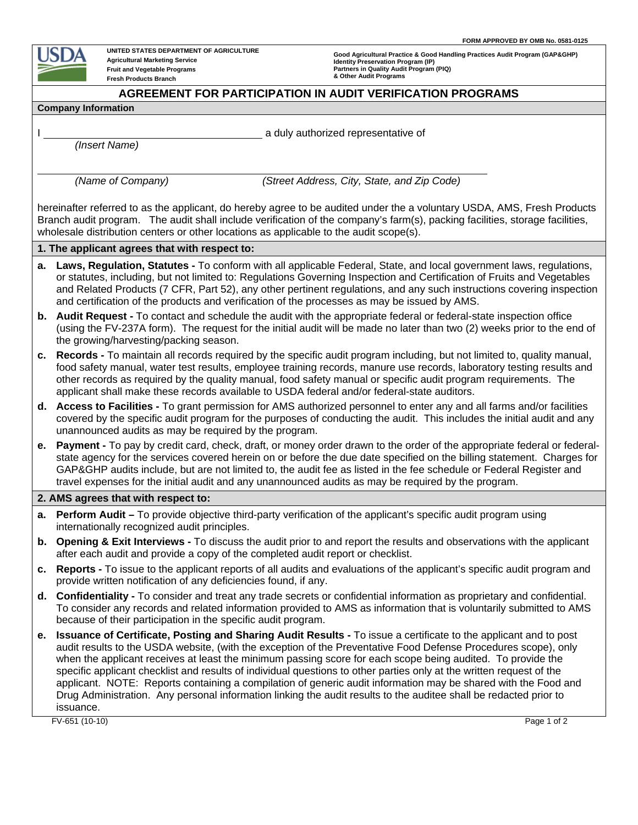

 $\overline{a}$ 

**UNITED STATES DEPARTMENT OF AGRICULTURE Agricultural Marketing Service Fruit and Vegetable Programs Fresh Products Branch**

**Good Agricultural Practice & Good Handling Practices Audit Program (GAP&GHP) Identity Preservation Program (IP) Partners in Quality Audit Program (PIQ) & Other Audit Programs**

## **AGREEMENT FOR PARTICIPATION IN AUDIT VERIFICATION PROGRAMS**

## **Company Information**

*(Insert Name)* 

I a duly authorized representative of

*(Name of Company) (Street Address, City, State, and Zip Code)* 

hereinafter referred to as the applicant, do hereby agree to be audited under the a voluntary USDA, AMS, Fresh Products Branch audit program. The audit shall include verification of the company's farm(s), packing facilities, storage facilities, wholesale distribution centers or other locations as applicable to the audit scope(s).

## **1. The applicant agrees that with respect to:**

- **a. Laws, Regulation, Statutes** To conform with all applicable Federal, State, and local government laws, regulations, or statutes, including, but not limited to: Regulations Governing Inspection and Certification of Fruits and Vegetables and Related Products (7 CFR, Part 52), any other pertinent regulations, and any such instructions covering inspection and certification of the products and verification of the processes as may be issued by AMS.
- **b. Audit Request** To contact and schedule the audit with the appropriate federal or federal-state inspection office (using the FV-237A form). The request for the initial audit will be made no later than two (2) weeks prior to the end of the growing/harvesting/packing season.
- **c. Records -** To maintain all records required by the specific audit program including, but not limited to, quality manual, food safety manual, water test results, employee training records, manure use records, laboratory testing results and other records as required by the quality manual, food safety manual or specific audit program requirements. The applicant shall make these records available to USDA federal and/or federal-state auditors.
- **d. Access to Facilities -** To grant permission for AMS authorized personnel to enter any and all farms and/or facilities covered by the specific audit program for the purposes of conducting the audit. This includes the initial audit and any unannounced audits as may be required by the program.
- **e. Payment -** To pay by credit card, check, draft, or money order drawn to the order of the appropriate federal or federalstate agency for the services covered herein on or before the due date specified on the billing statement. Charges for GAP&GHP audits include, but are not limited to, the audit fee as listed in the fee schedule or Federal Register and travel expenses for the initial audit and any unannounced audits as may be required by the program.

## **2. AMS agrees that with respect to:**

- **a. Perform Audit** To provide objective third-party verification of the applicant's specific audit program using internationally recognized audit principles.
- **b. Opening & Exit Interviews -** To discuss the audit prior to and report the results and observations with the applicant after each audit and provide a copy of the completed audit report or checklist.
- **c. Reports** To issue to the applicant reports of all audits and evaluations of the applicant's specific audit program and provide written notification of any deficiencies found, if any.
- **d. Confidentiality -** To consider and treat any trade secrets or confidential information as proprietary and confidential. To consider any records and related information provided to AMS as information that is voluntarily submitted to AMS because of their participation in the specific audit program.
- **e. Issuance of Certificate, Posting and Sharing Audit Results -** To issue a certificate to the applicant and to post audit results to the USDA website, (with the exception of the Preventative Food Defense Procedures scope), only when the applicant receives at least the minimum passing score for each scope being audited. To provide the specific applicant checklist and results of individual questions to other parties only at the written request of the applicant. NOTE: Reports containing a compilation of generic audit information may be shared with the Food and Drug Administration. Any personal information linking the audit results to the auditee shall be redacted prior to issuance.

FV-651 (10-10) Page 1 of 2